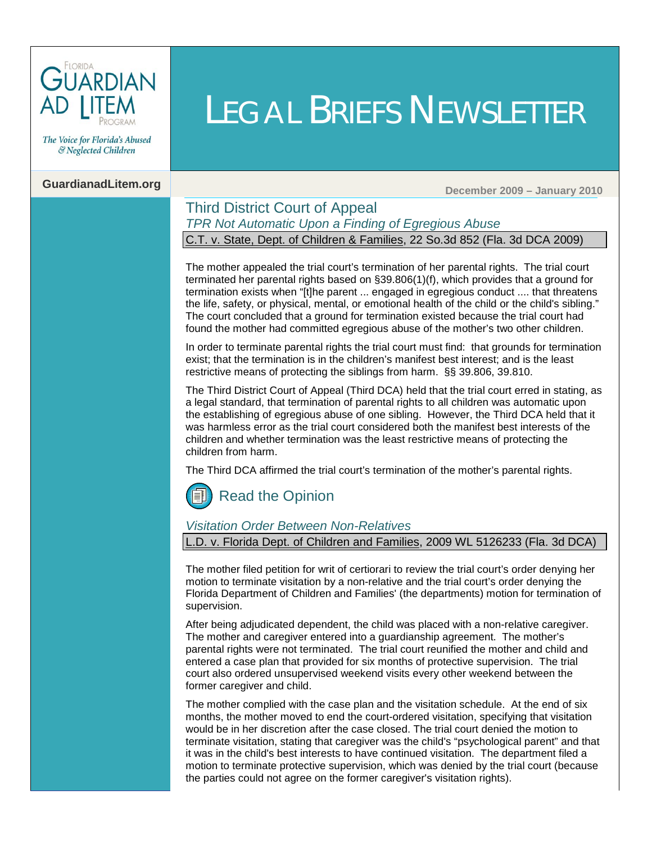

The Voice for Florida's Abused & Neglected Children

## **GuardianadLitem.org Contract Contract Contract Contract Contract Contract Contract Contract Contract Contract Contract Contract Contract Contract Contract Contract Contract Contract Contract Contract Contract Contract C**

#### Third District Court of Appeal *TPR Not Automatic Upon a Finding of Egregious Abuse* C.T. v. State, Dept. of Children & Families, 22 So.3d 852 (Fla. 3d DCA 2009)

The mother appealed the trial court's termination of her parental rights. The trial court terminated her parental rights based o[n §39.806\(1\)\(f\),](http://www.leg.state.fl.us/Statutes/index.cfm?App_mode=Display_Statute&Search_String=&URL=Ch0039/SEC806.HTM&Title=->2009->Ch0039->Section%20806#0039.806) which provides that a ground for termination exists when "[t]he parent ... engaged in egregious conduct .... that threatens the life, safety, or physical, mental, or emotional health of the child or the child's sibling." The court concluded that a ground for termination existed because the trial court had found the mother had committed egregious abuse of the mother's two other children.

LEGAL BRIEFS NEWSLETTER

In order to terminate parental rights the trial court must find: that grounds for termination exist; that the termination is in the children's manifest best interest; and is the least restrictive means of protecting the siblings from harm.[§§ 39.806,](http://web2.westlaw.com/find/default.wl?tf=-1&rs=WLW10.01&fn=_top&sv=Split&docname=FLSTS39.806&tc=-1&pbc=80B93E0F&ordoc=2020575048&findtype=L&db=1000006&vr=2.0&rp=%2ffind%2fdefault.wl&mt=Westlaw) [39.810](http://web2.westlaw.com/find/default.wl?tf=-1&rs=WLW10.01&fn=_top&sv=Split&docname=FLSTS39.810&tc=-1&pbc=80B93E0F&ordoc=2020575048&findtype=L&db=1000006&vr=2.0&rp=%2ffind%2fdefault.wl&mt=Westlaw)[.](http://www.leg.state.fl.us/Statutes/index.cfm?App_mode=Display_Statute&Search_String=&URL=Ch0039/SEC810.HTM&Title=->2009->Ch0039->Section%20810#0039.810)

The Third District Court of Appeal (Third DCA) held that the trial court erred in stating, as a legal standard, that termination of parental rights to all children was automatic upon the establishing of egregious abuse of one sibling. However, the Third DCA held that it was harmless error as the trial court considered both the manifest best interests of the children and whether termination was the least restrictive means of protecting the children from harm.

The Third DCA affirmed the trial court's termination of the mother's parental rights.

## [Read the Opinion](http://www.3dca.flcourts.org/Opinions/3D09-1526.pdf)

#### *Visitation Order Between Non-Relatives*

L.D. v. Florida [Dept. of Children and Families,](http://web2.westlaw.com/find/default.wl?ifm=NotSet&rp=%2ffind%2fdefault.wl&sv=Split&rs=WLW10.01&db=CO-LPAGE&findtype=l&fn=_top&docname=CIK(LE10187330)&vr=2.0) 2009 WL 5126233 (Fla. 3d DCA)

The mother filed petition for writ of certiorari to review the trial court's order denying her motion to terminate visitation by a non-relative and the trial court's order denying the Florida Department of Children and Families' (the departments) motion for termination of supervision.

After being adjudicated dependent, the child was placed with a non-relative caregiver. The mother and caregiver entered into a guardianship agreement. The mother's parental rights were not terminated. The trial court reunified the mother and child and entered a case plan that provided for six months of protective supervision. The trial court also ordered unsupervised weekend visits every other weekend between the former caregiver and child.

The mother complied with the case plan and the visitation schedule. At the end of six months, the mother moved to end the court-ordered visitation, specifying that visitation would be in her discretion after the case closed. The trial court denied the motion to terminate visitation, stating that caregiver was the child's "psychological parent" and that it was in the child's best interests to have continued visitation. The department filed a motion to terminate protective supervision, which was denied by the trial court (because the parties could not agree on the former caregiver's visitation rights).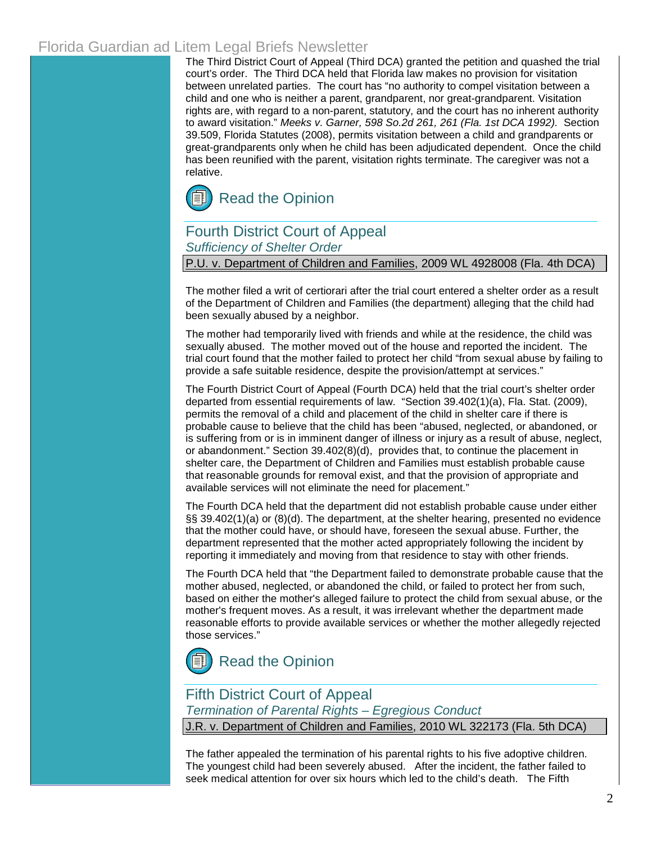## Florida Guardian ad Litem Legal Briefs Newsletter

The Third District Court of Appeal (Third DCA) granted the petition and quashed the trial court's order. The Third DCA held that Florida law makes no provision for visitation between unrelated parties. The court has "no authority to compel visitation between a child and one who is neither a parent, grandparent, nor great-grandparent. Visitation rights are, with regard to a non-parent, statutory, and the court has no inherent authority to award visitation." *Meeks v. Garner, 598 So.2d 261, 261 (Fla. 1st DCA 1992).* Section [39.509, Florida Statutes \(2008\),](http://www.leg.state.fl.us/Statutes/index.cfm?App_mode=Display_Statute&Search_String=&URL=Ch0039/SEC509.HTM&Title=->2009->Ch0039->Section%20509#0039.509) permits visitation between a child and grandparents or great-grandparents only when he child has been adjudicated dependent. Once the child has been reunified with the parent, visitation rights terminate. The caregiver was not a relative.



### Fourth District Court of Appeal *Sufficiency of Shelter Order*

P.U. v. Department of Children and Families, 2009 WL 4928008 (Fla. 4th DCA)

The mother filed a writ of certiorari after the trial court entered a shelter order as a result of the Department of Children and Families (the department) alleging that the child had been sexually abused by a neighbor.

The mother had temporarily lived with friends and while at the residence, the child was sexually abused. The mother moved out of the house and reported the incident. The trial court found that the mother failed to protect her child "from sexual abuse by failing to provide a safe suitable residence, despite the provision/attempt at services."

The Fourth District Court of Appeal (Fourth DCA) held that the trial court's shelter order departed from essential requirements of law. ["Section 39.402\(1\)\(a\), Fla. Stat.](http://www.leg.state.fl.us/Statutes/index.cfm?App_mode=Display_Statute&Search_String=&URL=Ch0039/SEC402.HTM&Title=->2009->Ch0039->Section%20402#0039.402) (2009), permits the removal of a child and placement of the child in shelter care if there is probable cause to believe that the child has been "abused, neglected, or abandoned, or is suffering from or is in imminent danger of illness or injury as a result of abuse, neglect, or abandonment." [Section 39.402\(8\)\(d\),](http://www.leg.state.fl.us/Statutes/index.cfm?App_mode=Display_Statute&Search_String=&URL=Ch0039/SEC402.HTM&Title=->2009->Ch0039->Section%20402#0039.402) provides that, to continue the placement in shelter care, the Department of Children and Families must establish probable cause that reasonable grounds for removal exist, and that the provision of appropriate and available services will not eliminate the need for placement."

The Fourth DCA held that the department did not establish probable cause under either [§§ 39.402\(1\)\(a\) or \(8\)\(d\). Th](http://www.leg.state.fl.us/Statutes/index.cfm?App_mode=Display_Statute&Search_String=&URL=Ch0039/SEC402.HTM&Title=->2009->Ch0039->Section%20402#0039.402)e department, at the shelter hearing, presented no evidence that the mother could have, or should have, foreseen the sexual abuse. Further, the department represented that the mother acted appropriately following the incident by reporting it immediately and moving from that residence to stay with other friends.

The Fourth DCA held that "the Department failed to demonstrate probable cause that the mother abused, neglected, or abandoned the child, or failed to protect her from such, based on either the mother's alleged failure to protect the child from sexual abuse, or the mother's frequent moves. As a result, it was irrelevant whether the department made reasonable efforts to provide available services or whether the mother allegedly rejected those services."



### Fifth District Court of Appeal

*Termination of Parental Rights – Egregious Conduct*

J.R. v. Department of Children and Families, 2010 WL 322173 (Fla. 5th DCA)

The father appealed the termination of his parental rights to his five adoptive children. The youngest child had been severely abused. After the incident, the father failed to seek medical attention for over six hours which led to the child's death. The Fifth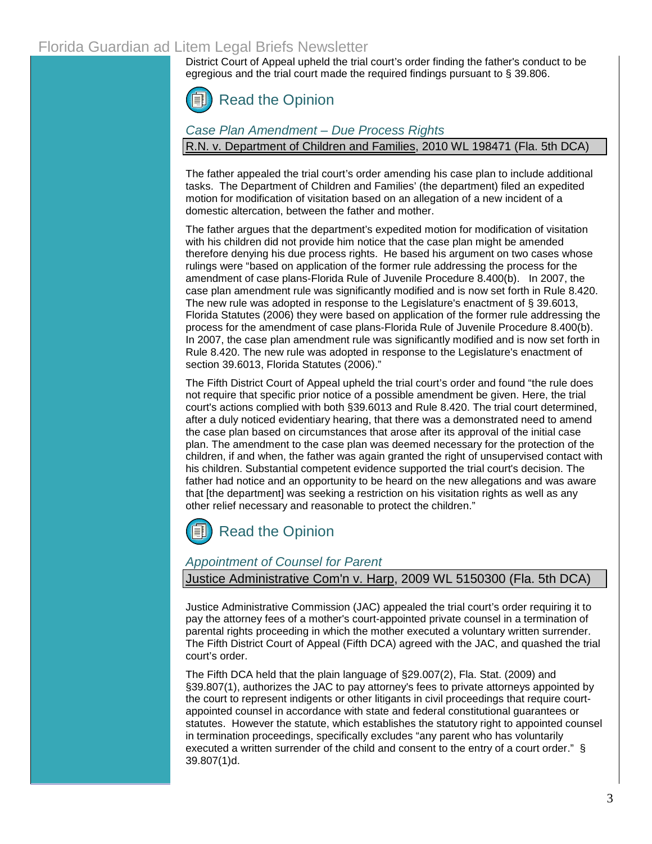## Florida Guardian ad Litem Legal Briefs Newsletter

District Court of Appeal upheld the trial court's order finding the father's conduct to be egregious and the trial court made the required findings pursuant to [§ 39.806.](http://www.leg.state.fl.us/Statutes/index.cfm?App_mode=Display_Statute&Search_String=&URL=Ch0039/SEC806.HTM&Title=->2009->Ch0039->Section%20806#0039.806)



#### *Case Plan Amendment – Due Process Rights*

R.N. v. Department of Children and Families, 2010 WL 198471 (Fla. 5th DCA)

The father appealed the trial court's order amending his case plan to include additional tasks. The Department of Children and Families' (the department) filed an expedited motion for modification of visitation based on an allegation of a new incident of a domestic altercation, between the father and mother.

The father argues that the department's expedited motion for modification of visitation with his children did not provide him notice that the case plan might be amended therefore denying his due process rights. He based his argument on two cases whose rulings were "based on application of the former rule addressing the process for the amendment of case plans-Florida Rule of Juvenile Procedure 8.400(b). In 2007, the case plan amendment rule was significantly modified and is now set forth in Rule 8.420. The new rule was adopted in response to the Legislature's enactment of § 39.6013, Florida Statutes (2006) they were based on application of the former rule addressing the process for the amendment of case plans[-Florida Rule of Juvenile Procedure 8.400\(b\).](http://web2.westlaw.com/find/default.wl?tf=-1&rs=WLW10.01&fn=_top&sv=Split&tc=-1&docname=FLSTJUVPR8.400&ordoc=2021190326&findtype=L&db=1000006&vr=2.0&rp=%2ffind%2fdefault.wl&pbc=9C2805AB) In 2007, the case plan amendment rule was significantly modified and is now set forth in [Rule 8.420.](http://web2.westlaw.com/find/default.wl?tf=-1&rs=WLW10.01&fn=_top&sv=Split&tc=-1&docname=FLSTJUVPR8.420&ordoc=2021190326&findtype=L&db=1000006&vr=2.0&rp=%2ffind%2fdefault.wl&pbc=9C2805AB) The new rule was adopted in response to the Legislature's enactment of [section 39.6013, Florida Statutes \(2006\)."](http://web2.westlaw.com/find/default.wl?tf=-1&rs=WLW10.01&fn=_top&sv=Split&tc=-1&docname=FLSTS39.6013&ordoc=2021190326&findtype=L&db=1000006&vr=2.0&rp=%2ffind%2fdefault.wl&pbc=9C2805AB)

The Fifth District Court of Appeal upheld the trial court's order and found "the rule does not require that specific prior notice of a possible amendment be given. Here, the trial court's actions complied with both §39.6013 and Rule 8.420. The trial court determined, after a duly noticed evidentiary hearing, that there was a demonstrated need to amend the case plan based on circumstances that arose after its approval of the initial case plan. The amendment to the case plan was deemed necessary for the protection of the children, if and when, the father was again granted the right of unsupervised contact with his children. Substantial competent evidence supported the trial court's decision. The father had notice and an opportunity to be heard on the new allegations and was aware that [the department] was seeking a restriction on his visitation rights as well as any other relief necessary and reasonable to protect the children."



#### *Appointment of Counsel for Parent*

#### Justice Administrative Com'n v. Harp, 2009 WL 5150300 (Fla. 5th DCA)

Justice Administrative Commission (JAC) appealed the trial court's order requiring it to pay the attorney fees of a mother's court-appointed private counsel in a termination of parental rights proceeding in which the mother executed a voluntary written surrender. The Fifth District Court of Appeal (Fifth DCA) agreed with the JAC, and quashed the trial court's order.

The Fifth DCA held that the plain language o[f §29.007\(2\), Fla. Stat.](http://www.leg.state.fl.us/Statutes/index.cfm?App_mode=Display_Statute&Search_String=&URL=Ch0029/SEC007.HTM&Title=->2009->Ch0029->Section%20007#0029.007) (2009) and [§39.807\(1\),](http://www.leg.state.fl.us/Statutes/index.cfm?App_mode=Display_Statute&Search_String=&URL=Ch0039/SEC807.HTM&Title=->2009->Ch0039->Section%20807#0039.807) authorizes the JAC to pay attorney's fees to private attorneys appointed by the court to represent indigents or other litigants in civil proceedings that require courtappointed counsel in accordance with state and federal constitutional guarantees or statutes. However the statute, which establishes the statutory right to appointed counsel in termination proceedings, specifically excludes "any parent who has voluntarily executed a written surrender of the child and consent to the entry of a court order." § [39.807\(1\)d.](http://www.leg.state.fl.us/Statutes/index.cfm?App_mode=Display_Statute&Search_String=&URL=Ch0039/SEC807.HTM&Title=->2009->Ch0039->Section%20807#0039.807)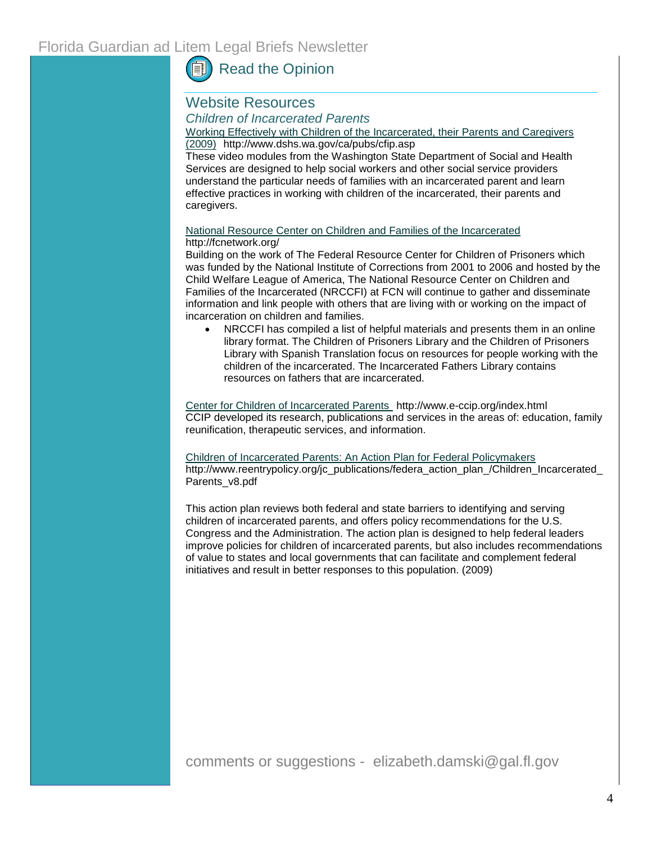## [Read the Opinion](http://www.5dca.org/Opinions/Opin2009/122809/5D09-3058.op.pdf)

#### Website Resources *Children of Incarcerated Parents*

Working Effectively with Children of the Incarcerated, their Parents and Caregivers (2009)<http://www.dshs.wa.gov/ca/pubs/cfip.asp>

These video modules from the Washington State Department of Social and Health Services are designed to help social workers and other social service providers understand the particular needs of families with an incarcerated parent and learn effective practices in working with children of the incarcerated, their parents and caregivers.

#### [National Resource Center on Children and Families of the Incarcerated](http://www.fcnetwork.org/) <http://fcnetwork.org/>

Building on the work of The Federal Resource Center for Children of Prisoners which was funded by the National Institute of Corrections from 2001 to 2006 and hosted by the Child Welfare League of America, The National Resource Center on Children and Families of the Incarcerated (NRCCFI) at FCN will continue to gather and disseminate information and link people with others that are living with or working on the impact of incarceration on children and families.

• NRCCFI has compiled a list of helpful materials and presents them in an online library format. The [Children of Prisoners Library](http://fcnetwork.org/resources/library/children-of-prisoners-library) and the [Children of Prisoners](http://fcnetwork.org/resources/library/cpl-espanol)  [Library with Spanish Translation](http://fcnetwork.org/resources/library/cpl-espanol) focus on resources for people working with the children of the incarcerated. The [Incarcerated Fathers Library](http://fcnetwork.org/resources/library/incarcerated-fathers-library) contains resources on fathers that are incarcerated.

[Center for Children of Incarcerated Parents](http://www.e-ccip.org/index.html) [http://www.e-ccip.org/index.html](www.e-ccip.org) CCIP developed its research, publications and services in the areas of: education, family reunification, therapeutic services, and information.

#### [Children of Incarcerated Parents: An Action Plan for Federal Policymakers](http://www.reentrypolicy.org/jc_publications/federa_action_plan_/Children_Incarcerated_Parents_v8.pdf)

[http://www.reentrypolicy.org/jc\\_publications/federa\\_action\\_plan\\_/Children\\_Incarcerated\\_](http://www.reentrypolicy.org/jc_publications/federa_action_plan_/Children_Incarcerated_Parents_v8.pdf) [Parents\\_v8.pdf](http://www.reentrypolicy.org/jc_publications/federa_action_plan_/Children_Incarcerated_Parents_v8.pdf)

This action plan reviews both federal and state barriers to identifying and serving children of incarcerated parents, and offers policy recommendations for the U.S. Congress and the Administration. The action plan is designed to help federal leaders improve policies for children of incarcerated parents, but also includes recommendations of value to states and local governments that can facilitate and complement federal initiatives and result in better responses to this population. (2009)

comments or suggestions - elizabeth.damski@gal.fl.gov